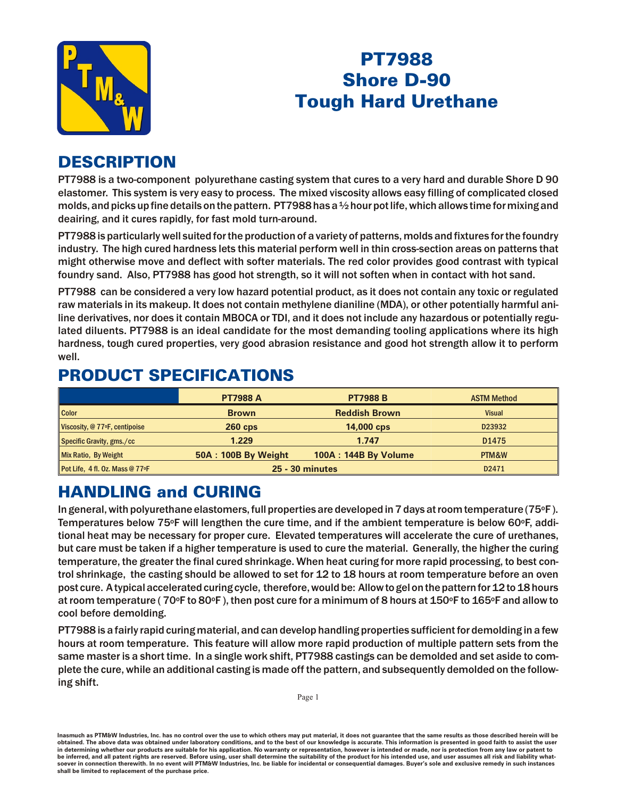

# PT7988 Shore D-90 Tough Hard Urethane

## **DESCRIPTION**

PT7988 is a two-component polyurethane casting system that cures to a very hard and durable Shore D 90 elastomer. This system is very easy to process. The mixed viscosity allows easy filling of complicated closed molds, and picks up fine details on the pattern. PT7988 has a  $\frac{1}{2}$  hour pot life, which allows time for mixing and deairing, and it cures rapidly, for fast mold turn-around.

PT7988 is particularly well suited for the production of a variety of patterns, molds and fixtures for the foundry industry. The high cured hardness lets this material perform well in thin cross-section areas on patterns that might otherwise move and deflect with softer materials. The red color provides good contrast with typical foundry sand. Also, PT7988 has good hot strength, so it will not soften when in contact with hot sand.

PT7988 can be considered a very low hazard potential product, as it does not contain any toxic or regulated raw materials in its makeup. It does not contain methylene dianiline (MDA), or other potentially harm ful aniline derivatives, nor does it contain MBOCA or TDI, and it does not include any hazardous or potentially regulated diluents. PT7988 is an ideal candidate for the most demanding tooling applications where its high hardness, tough cured properties, very good abrasion resistance and good hot strength allow it to perform well.

|                                 | <b>PT7988 A</b>        | <b>PT7988 B</b>      | <b>ASTM Method</b> |
|---------------------------------|------------------------|----------------------|--------------------|
| <b>Color</b>                    | <b>Brown</b>           | <b>Reddish Brown</b> | <b>Visual</b>      |
| Viscosity, @ 77°F, centipoise   | $260$ cps              | 14,000 cps           | D23932             |
| Specific Gravity, gms./cc       | 1.229                  | 1.747                | D <sub>1475</sub>  |
| Mix Ratio, By Weight            | 50A: 100B By Weight    | 100A: 144B By Volume | PTM&W              |
| Pot Life, 4 fl. Oz. Mass @ 77°F | <b>25 - 30 minutes</b> |                      | D2471              |

## **PRODUCT SPECIFICATIONS**

## **HANDLING and CURING**

In general, with polyurethane elastomers, full properties are developed in 7 days at room temperature (75°F). Temperatures below 75°F will lengthen the cure time, and if the ambient temperature is below 60°F, additional heat may be necessary for proper cure. Elevated temperatures will accelerate the cure of urethanes, but care must be taken if a higher temperature is used to cure the material. Generally, the higher the curing tem perature, the greater the final cured shrinkage. When heat curing for more rapid processing, to best control shrinkage, the casting should be allowed to set for 12 to 18 hours at room temperature before an oven post cure. A typical accelerated curing cycle, therefore, would be: Allow to gel on the pattern for 12 to 18 hours at room temperature ( $70^{\circ}$ F to  $80^{\circ}$ F), then post cure for a minimum of 8 hours at 150 $^{\circ}$ F to 165 $^{\circ}$ F and allow to cool before demolding.

PT7988 is a fairly rapid curing material, and can develop handling properties sufficient for demolding in a few hours at room temperature. This feature will allow more rapid production of multiple pattern sets from the same master is a short time. In a single work shift, PT7988 castings can be demolded and set aside to complete the cure, while an additional casting is made off the pattern, and subsequently demolded on the following shift.

Inasmuch as PTM&W Industries, Inc. has no control over the use to which others may put material, it does not guarantee that the same results as those described herein will be obtained. The above data was obtained under laboratory conditions, and to the best of our knowledge is accurate. This information is presented in good faith to assist the user in determining whether our products are suitable for his application. No warranty or representation, however is intended or made, nor is protection from any law be inferred, and all patent rights are reserved. Before using, user shall determine the suitability of the product for his intended use, and user assumes all risk and liability whatsoever in connection therewith. In no event will PTM&W Industries, Inc. be liable for incidental or consequential damages. Buyer's sole and exclusive remedy in such instances shall be limited to replacement of the purchase price.